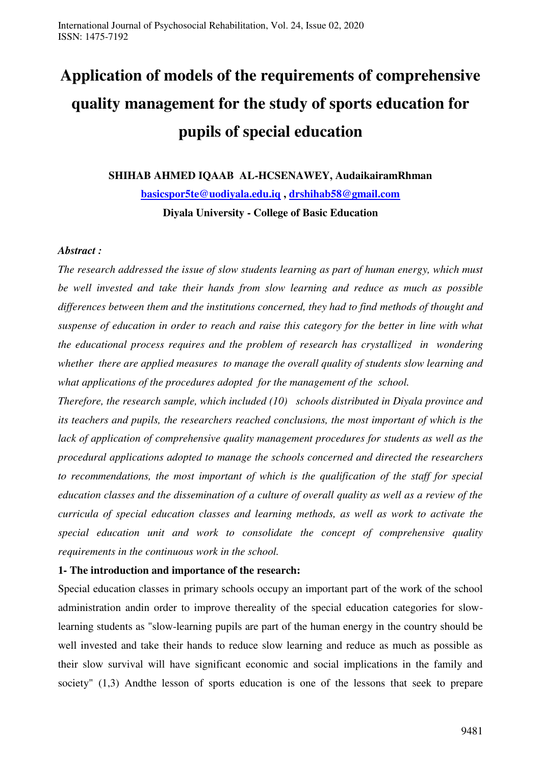# **Application of models of the requirements of comprehensive quality management for the study of sports education for pupils of special education**

**SHIHAB AHMED IQAAB AL-HCSENAWEY, AudaikairamRhman [basicspor5te@uodiyala.edu.iq](mailto:basicspor5te@uodiyala.edu.iq) , [drshihab58@gmail.com](mailto:drshihab58@gmail.com) Diyala University - College of Basic Education** 

## *Abstract :*

*The research addressed the issue of slow students learning as part of human energy, which must be well invested and take their hands from slow learning and reduce as much as possible differences between them and the institutions concerned, they had to find methods of thought and suspense of education in order to reach and raise this category for the better in line with what the educational process requires and the problem of research has crystallized in wondering whether there are applied measures to manage the overall quality of students slow learning and what applications of the procedures adopted for the management of the school.*

*Therefore, the research sample, which included (10) schools distributed in Diyala province and its teachers and pupils, the researchers reached conclusions, the most important of which is the*  lack of application of comprehensive quality management procedures for students as well as the *procedural applications adopted to manage the schools concerned and directed the researchers to recommendations, the most important of which is the qualification of the staff for special education classes and the dissemination of a culture of overall quality as well as a review of the curricula of special education classes and learning methods, as well as work to activate the special education unit and work to consolidate the concept of comprehensive quality requirements in the continuous work in the school.* 

# **1- The introduction and importance of the research:**

Special education classes in primary schools occupy an important part of the work of the school administration andin order to improve thereality of the special education categories for slowlearning students as "slow-learning pupils are part of the human energy in the country should be well invested and take their hands to reduce slow learning and reduce as much as possible as their slow survival will have significant economic and social implications in the family and society" (1,3) Andthe lesson of sports education is one of the lessons that seek to prepare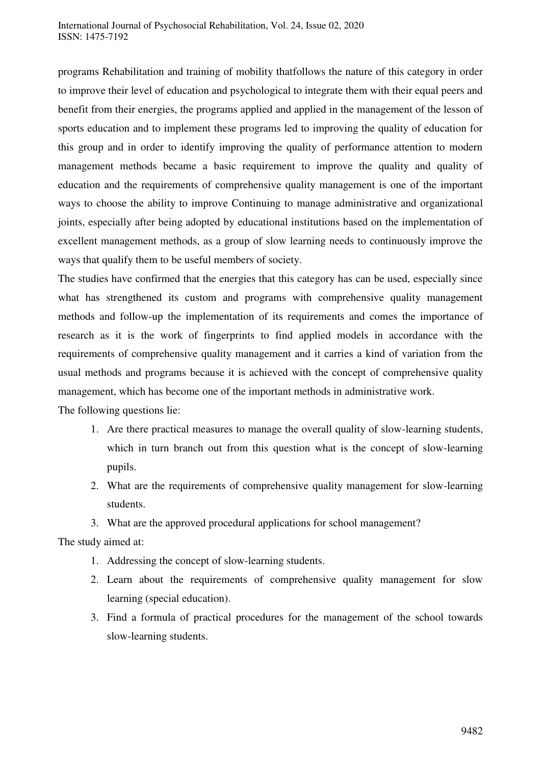programs Rehabilitation and training of mobility thatfollows the nature of this category in order to improve their level of education and psychological to integrate them with their equal peers and benefit from their energies, the programs applied and applied in the management of the lesson of sports education and to implement these programs led to improving the quality of education for this group and in order to identify improving the quality of performance attention to modern management methods became a basic requirement to improve the quality and quality of education and the requirements of comprehensive quality management is one of the important ways to choose the ability to improve Continuing to manage administrative and organizational joints, especially after being adopted by educational institutions based on the implementation of excellent management methods, as a group of slow learning needs to continuously improve the ways that qualify them to be useful members of society.

The studies have confirmed that the energies that this category has can be used, especially since what has strengthened its custom and programs with comprehensive quality management methods and follow-up the implementation of its requirements and comes the importance of research as it is the work of fingerprints to find applied models in accordance with the requirements of comprehensive quality management and it carries a kind of variation from the usual methods and programs because it is achieved with the concept of comprehensive quality management, which has become one of the important methods in administrative work.

The following questions lie:

- 1. Are there practical measures to manage the overall quality of slow-learning students, which in turn branch out from this question what is the concept of slow-learning pupils.
- 2. What are the requirements of comprehensive quality management for slow-learning students.
- 3. What are the approved procedural applications for school management?

The study aimed at:

- 1. Addressing the concept of slow-learning students.
- 2. Learn about the requirements of comprehensive quality management for slow learning (special education).
- 3. Find a formula of practical procedures for the management of the school towards slow-learning students.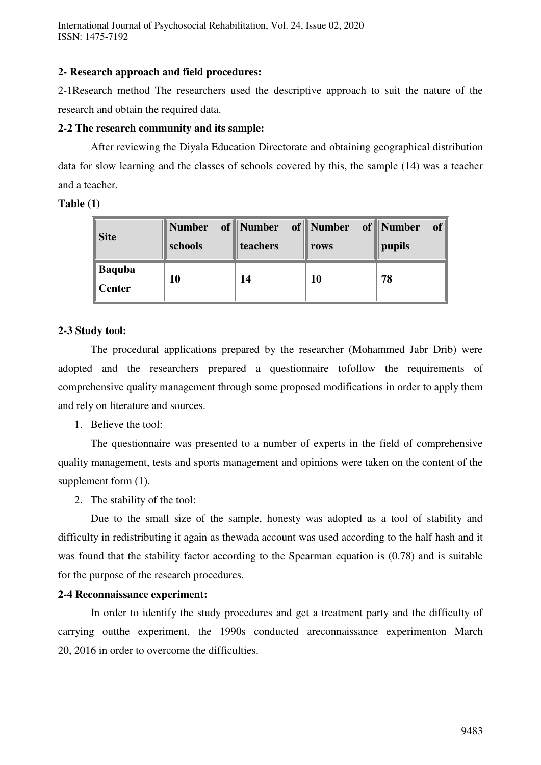International Journal of Psychosocial Rehabilitation, Vol. 24, Issue 02, 2020 ISSN: 1475-7192

#### **2- Research approach and field procedures:**

2-1Research method The researchers used the descriptive approach to suit the nature of the research and obtain the required data.

#### **2-2 The research community and its sample:**

 After reviewing the Diyala Education Directorate and obtaining geographical distribution data for slow learning and the classes of schools covered by this, the sample (14) was a teacher and a teacher.

#### **Table (1)**

| <b>Site</b>                    | <b>Number</b><br>schools | of Number of Number<br>teachers | rows | of Number<br><b>of</b><br>pupils |
|--------------------------------|--------------------------|---------------------------------|------|----------------------------------|
| <b>Baquba</b><br><b>Center</b> | 10                       | 14                              | 10   | 78                               |

## **2-3 Study tool:**

The procedural applications prepared by the researcher (Mohammed Jabr Drib) were adopted and the researchers prepared a questionnaire tofollow the requirements of comprehensive quality management through some proposed modifications in order to apply them and rely on literature and sources.

1. Believe the tool:

The questionnaire was presented to a number of experts in the field of comprehensive quality management, tests and sports management and opinions were taken on the content of the supplement form (1).

2. The stability of the tool:

Due to the small size of the sample, honesty was adopted as a tool of stability and difficulty in redistributing it again as thewada account was used according to the half hash and it was found that the stability factor according to the Spearman equation is (0.78) and is suitable for the purpose of the research procedures.

#### **2-4 Reconnaissance experiment:**

In order to identify the study procedures and get a treatment party and the difficulty of carrying outthe experiment, the 1990s conducted areconnaissance experimenton March 20, 2016 in order to overcome the difficulties.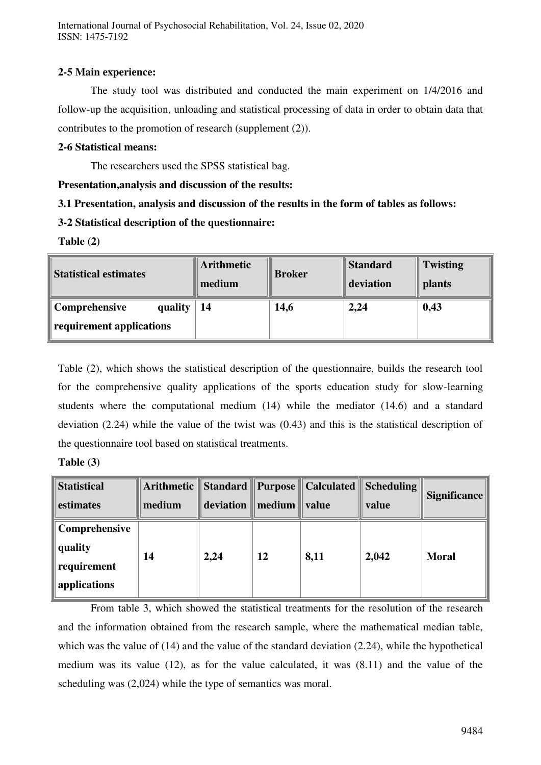International Journal of Psychosocial Rehabilitation, Vol. 24, Issue 02, 2020 ISSN: 1475-7192

## **2-5 Main experience:**

The study tool was distributed and conducted the main experiment on 1/4/2016 and follow-up the acquisition, unloading and statistical processing of data in order to obtain data that contributes to the promotion of research (supplement (2)).

## **2-6 Statistical means:**

The researchers used the SPSS statistical bag.

## **Presentation,analysis and discussion of the results:**

# **3.1 Presentation, analysis and discussion of the results in the form of tables as follows:**

# **3-2 Statistical description of the questionnaire:**

**Table (2)** 

| <b>Statistical estimates</b>                         | <b>Arithmetic</b><br>medium | <b>Broker</b> | <b>Standard</b><br>deviation | Twisting<br><b>plants</b> |
|------------------------------------------------------|-----------------------------|---------------|------------------------------|---------------------------|
| Comprehensive<br>quality<br>requirement applications | 14                          | 14,6          | 2,24                         | 0,43                      |

Table (2), which shows the statistical description of the questionnaire, builds the research tool for the comprehensive quality applications of the sports education study for slow-learning students where the computational medium (14) while the mediator (14.6) and a standard deviation (2.24) while the value of the twist was (0.43) and this is the statistical description of the questionnaire tool based on statistical treatments.

| l'able (3 |  |
|-----------|--|
|-----------|--|

| <b>Statistical</b><br>estimates                         | medium | $deviation \parallel medium \parallel value$ |    |      | Arithmetic    Standard    Purpose    Calculated    Scheduling   <br>value | Significance |
|---------------------------------------------------------|--------|----------------------------------------------|----|------|---------------------------------------------------------------------------|--------------|
| Comprehensive<br>quality<br>requirement<br>applications | 14     | 2,24                                         | 12 | 8,11 | 2,042                                                                     | <b>Moral</b> |

 From table 3, which showed the statistical treatments for the resolution of the research and the information obtained from the research sample, where the mathematical median table, which was the value of (14) and the value of the standard deviation (2.24), while the hypothetical medium was its value (12), as for the value calculated, it was (8.11) and the value of the scheduling was (2,024) while the type of semantics was moral.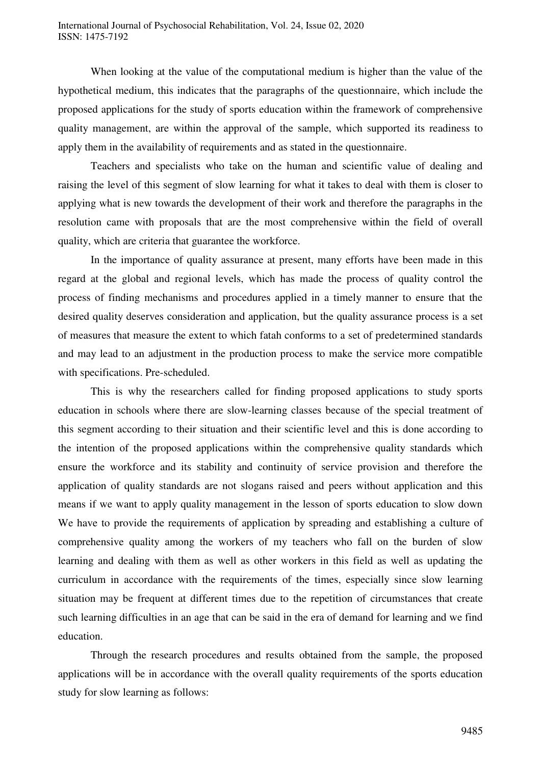When looking at the value of the computational medium is higher than the value of the hypothetical medium, this indicates that the paragraphs of the questionnaire, which include the proposed applications for the study of sports education within the framework of comprehensive quality management, are within the approval of the sample, which supported its readiness to apply them in the availability of requirements and as stated in the questionnaire.

Teachers and specialists who take on the human and scientific value of dealing and raising the level of this segment of slow learning for what it takes to deal with them is closer to applying what is new towards the development of their work and therefore the paragraphs in the resolution came with proposals that are the most comprehensive within the field of overall quality, which are criteria that guarantee the workforce.

In the importance of quality assurance at present, many efforts have been made in this regard at the global and regional levels, which has made the process of quality control the process of finding mechanisms and procedures applied in a timely manner to ensure that the desired quality deserves consideration and application, but the quality assurance process is a set of measures that measure the extent to which fatah conforms to a set of predetermined standards and may lead to an adjustment in the production process to make the service more compatible with specifications. Pre-scheduled.

This is why the researchers called for finding proposed applications to study sports education in schools where there are slow-learning classes because of the special treatment of this segment according to their situation and their scientific level and this is done according to the intention of the proposed applications within the comprehensive quality standards which ensure the workforce and its stability and continuity of service provision and therefore the application of quality standards are not slogans raised and peers without application and this means if we want to apply quality management in the lesson of sports education to slow down We have to provide the requirements of application by spreading and establishing a culture of comprehensive quality among the workers of my teachers who fall on the burden of slow learning and dealing with them as well as other workers in this field as well as updating the curriculum in accordance with the requirements of the times, especially since slow learning situation may be frequent at different times due to the repetition of circumstances that create such learning difficulties in an age that can be said in the era of demand for learning and we find education.

Through the research procedures and results obtained from the sample, the proposed applications will be in accordance with the overall quality requirements of the sports education study for slow learning as follows: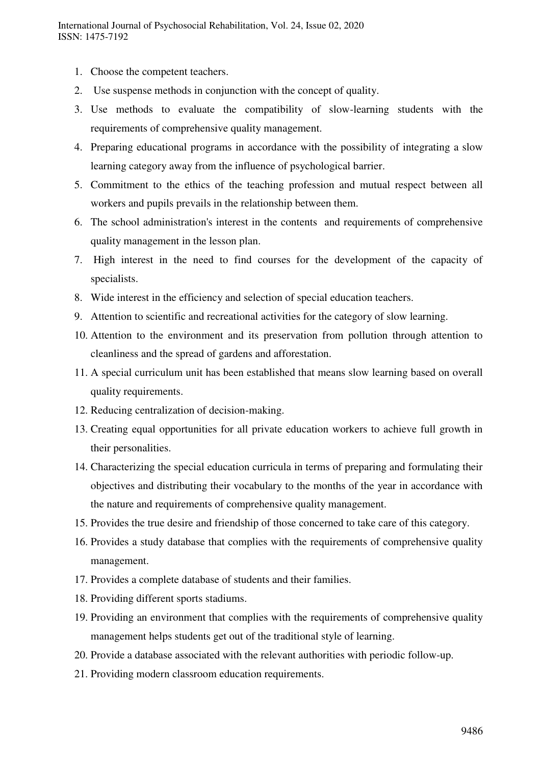- 1. Choose the competent teachers.
- 2. Use suspense methods in conjunction with the concept of quality.
- 3. Use methods to evaluate the compatibility of slow-learning students with the requirements of comprehensive quality management.
- 4. Preparing educational programs in accordance with the possibility of integrating a slow learning category away from the influence of psychological barrier.
- 5. Commitment to the ethics of the teaching profession and mutual respect between all workers and pupils prevails in the relationship between them.
- 6. The school administration's interest in the contents and requirements of comprehensive quality management in the lesson plan.
- 7. High interest in the need to find courses for the development of the capacity of specialists.
- 8. Wide interest in the efficiency and selection of special education teachers.
- 9. Attention to scientific and recreational activities for the category of slow learning.
- 10. Attention to the environment and its preservation from pollution through attention to cleanliness and the spread of gardens and afforestation.
- 11. A special curriculum unit has been established that means slow learning based on overall quality requirements.
- 12. Reducing centralization of decision-making.
- 13. Creating equal opportunities for all private education workers to achieve full growth in their personalities.
- 14. Characterizing the special education curricula in terms of preparing and formulating their objectives and distributing their vocabulary to the months of the year in accordance with the nature and requirements of comprehensive quality management.
- 15. Provides the true desire and friendship of those concerned to take care of this category.
- 16. Provides a study database that complies with the requirements of comprehensive quality management.
- 17. Provides a complete database of students and their families.
- 18. Providing different sports stadiums.
- 19. Providing an environment that complies with the requirements of comprehensive quality management helps students get out of the traditional style of learning.
- 20. Provide a database associated with the relevant authorities with periodic follow-up.
- 21. Providing modern classroom education requirements.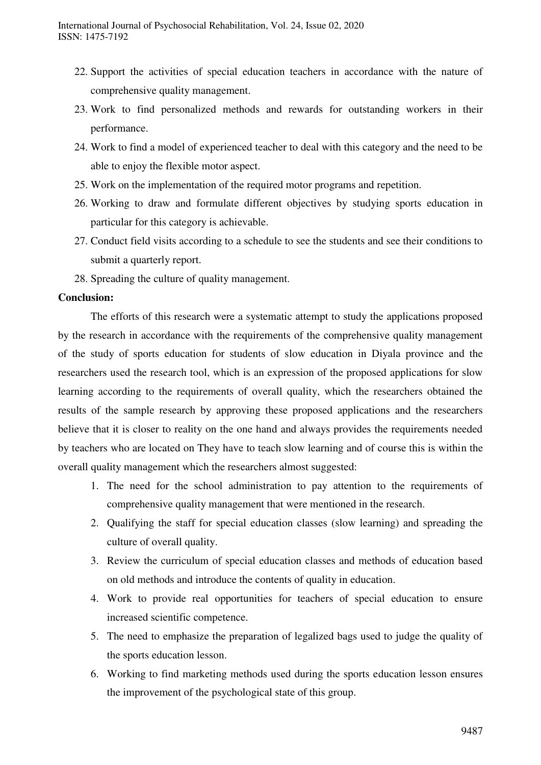- 22. Support the activities of special education teachers in accordance with the nature of comprehensive quality management.
- 23. Work to find personalized methods and rewards for outstanding workers in their performance.
- 24. Work to find a model of experienced teacher to deal with this category and the need to be able to enjoy the flexible motor aspect.
- 25. Work on the implementation of the required motor programs and repetition.
- 26. Working to draw and formulate different objectives by studying sports education in particular for this category is achievable.
- 27. Conduct field visits according to a schedule to see the students and see their conditions to submit a quarterly report.
- 28. Spreading the culture of quality management.

#### **Conclusion:**

The efforts of this research were a systematic attempt to study the applications proposed by the research in accordance with the requirements of the comprehensive quality management of the study of sports education for students of slow education in Diyala province and the researchers used the research tool, which is an expression of the proposed applications for slow learning according to the requirements of overall quality, which the researchers obtained the results of the sample research by approving these proposed applications and the researchers believe that it is closer to reality on the one hand and always provides the requirements needed by teachers who are located on They have to teach slow learning and of course this is within the overall quality management which the researchers almost suggested:

- 1. The need for the school administration to pay attention to the requirements of comprehensive quality management that were mentioned in the research.
- 2. Qualifying the staff for special education classes (slow learning) and spreading the culture of overall quality.
- 3. Review the curriculum of special education classes and methods of education based on old methods and introduce the contents of quality in education.
- 4. Work to provide real opportunities for teachers of special education to ensure increased scientific competence.
- 5. The need to emphasize the preparation of legalized bags used to judge the quality of the sports education lesson.
- 6. Working to find marketing methods used during the sports education lesson ensures the improvement of the psychological state of this group.